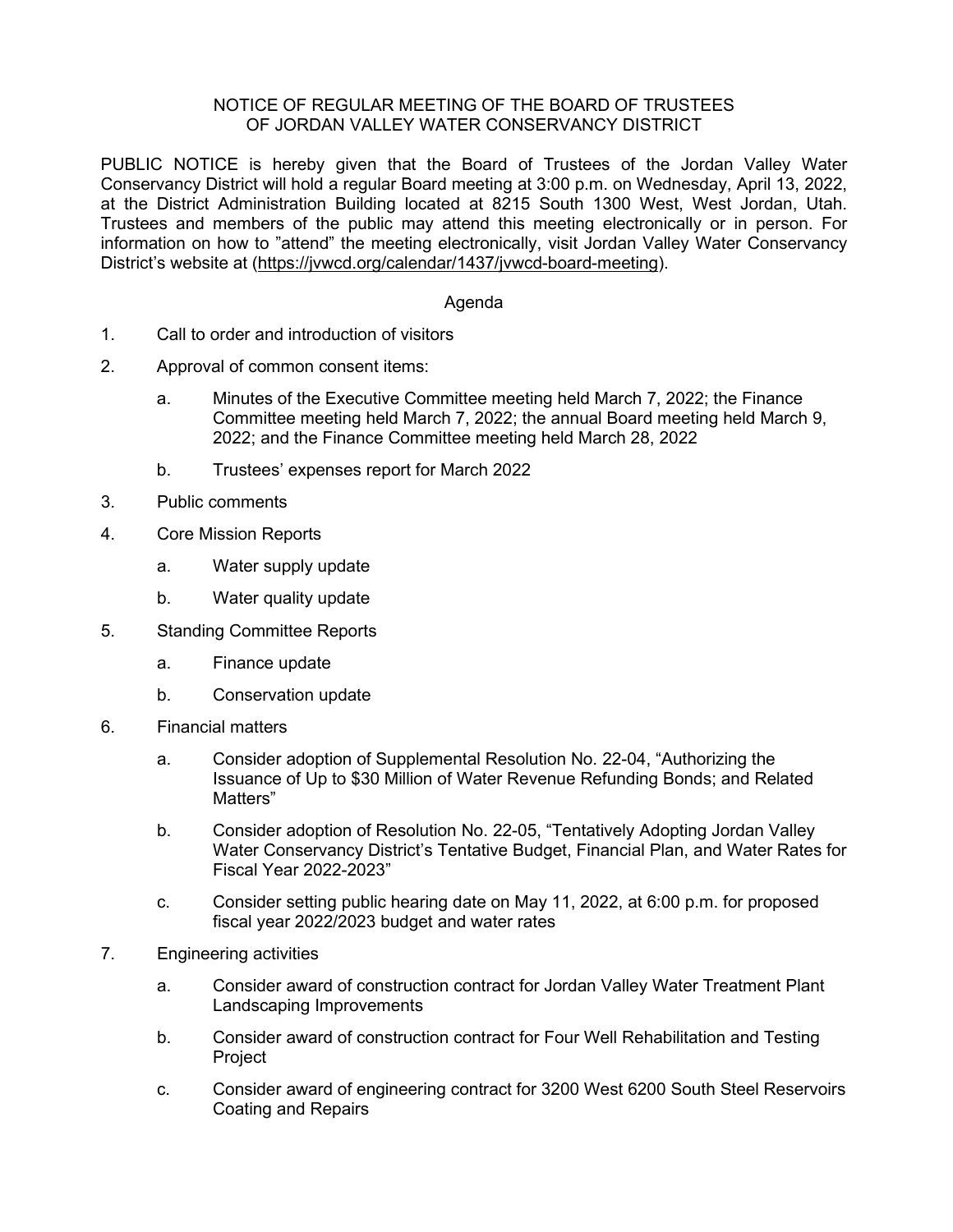## NOTICE OF REGULAR MEETING OF THE BOARD OF TRUSTEES OF JORDAN VALLEY WATER CONSERVANCY DISTRICT

PUBLIC NOTICE is hereby given that the Board of Trustees of the Jordan Valley Water Conservancy District will hold a regular Board meeting at 3:00 p.m. on Wednesday, April 13, 2022, at the District Administration Building located at 8215 South 1300 West, West Jordan, Utah. Trustees and members of the public may attend this meeting electronically or in person. For information on how to "attend" the meeting electronically, visit Jordan Valley Water Conservancy District's website at [\(https://jvwcd.org/calendar/1437/jvwcd-board-meeting\)](https://jvwcd.org/calendar/1437/jvwcd-board-meeting).

## Agenda

- 1. Call to order and introduction of visitors
- 2. Approval of common consent items:
	- a. Minutes of the Executive Committee meeting held March 7, 2022; the Finance Committee meeting held March 7, 2022; the annual Board meeting held March 9, 2022; and the Finance Committee meeting held March 28, 2022
	- b. Trustees' expenses report for March 2022
- 3. Public comments
- 4. Core Mission Reports
	- a. Water supply update
	- b. Water quality update
- 5. Standing Committee Reports
	- a. Finance update
	- b. Conservation update
- 6. Financial matters
	- a. Consider adoption of Supplemental Resolution No. 22-04, "Authorizing the Issuance of Up to \$30 Million of Water Revenue Refunding Bonds; and Related Matters"
	- b. Consider adoption of Resolution No. 22-05, "Tentatively Adopting Jordan Valley Water Conservancy District's Tentative Budget, Financial Plan, and Water Rates for Fiscal Year 2022-2023"
	- c. Consider setting public hearing date on May 11, 2022, at 6:00 p.m. for proposed fiscal year 2022/2023 budget and water rates
- 7. Engineering activities
	- a. Consider award of construction contract for Jordan Valley Water Treatment Plant Landscaping Improvements
	- b. Consider award of construction contract for Four Well Rehabilitation and Testing Project
	- c. Consider award of engineering contract for 3200 West 6200 South Steel Reservoirs Coating and Repairs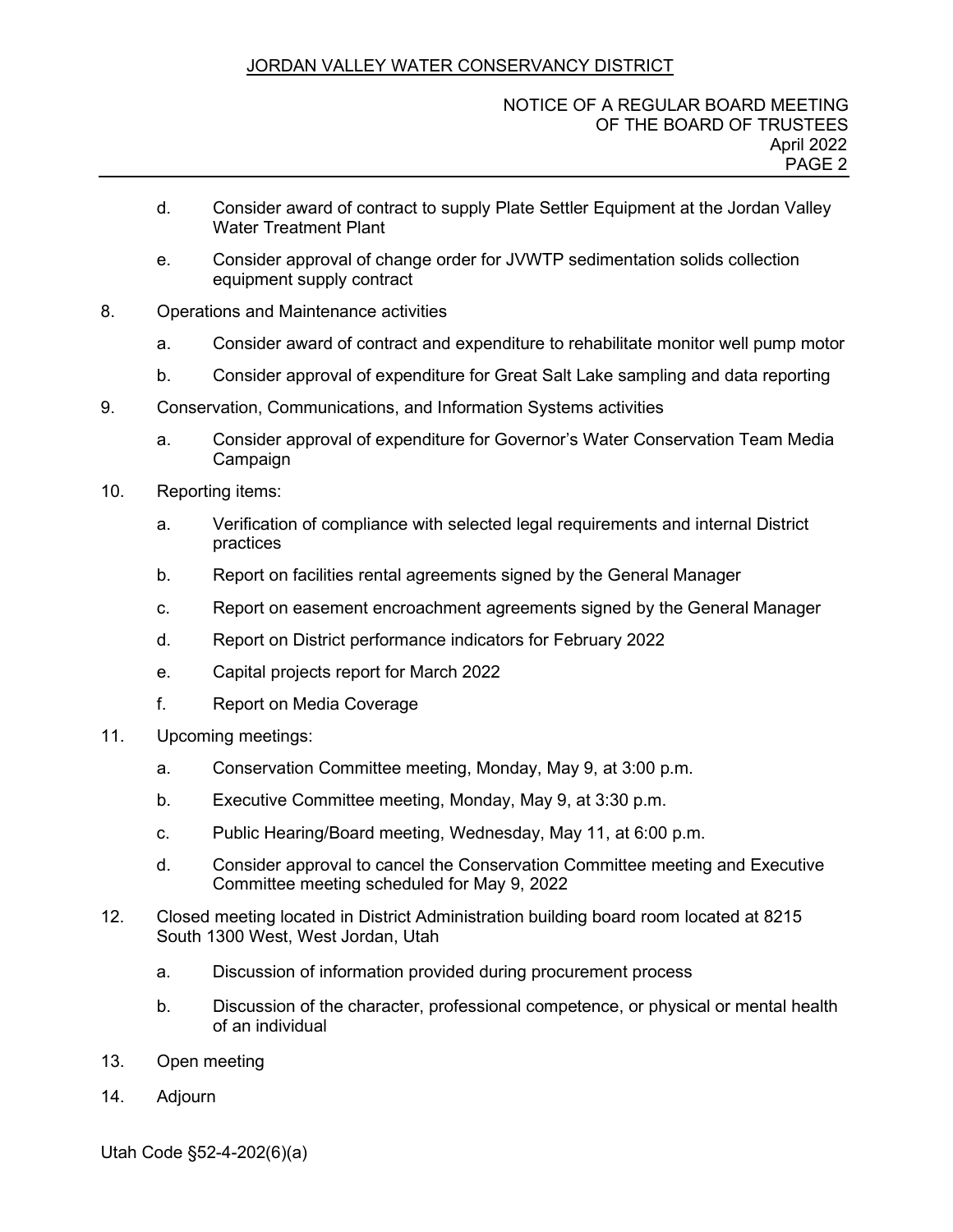## JORDAN VALLEY WATER CONSERVANCY DISTRICT

- d. Consider award of contract to supply Plate Settler Equipment at the Jordan Valley Water Treatment Plant
- e. Consider approval of change order for JVWTP sedimentation solids collection equipment supply contract
- 8. Operations and Maintenance activities
	- a. Consider award of contract and expenditure to rehabilitate monitor well pump motor
	- b. Consider approval of expenditure for Great Salt Lake sampling and data reporting
- 9. Conservation, Communications, and Information Systems activities
	- a. Consider approval of expenditure for Governor's Water Conservation Team Media Campaign
- 10. Reporting items:
	- a. Verification of compliance with selected legal requirements and internal District practices
	- b. Report on facilities rental agreements signed by the General Manager
	- c. Report on easement encroachment agreements signed by the General Manager
	- d. Report on District performance indicators for February 2022
	- e. Capital projects report for March 2022
	- f. Report on Media Coverage
- 11. Upcoming meetings:
	- a. Conservation Committee meeting, Monday, May 9, at 3:00 p.m.
	- b. Executive Committee meeting, Monday, May 9, at 3:30 p.m.
	- c. Public Hearing/Board meeting, Wednesday, May 11, at 6:00 p.m.
	- d. Consider approval to cancel the Conservation Committee meeting and Executive Committee meeting scheduled for May 9, 2022
- 12. Closed meeting located in District Administration building board room located at 8215 South 1300 West, West Jordan, Utah
	- a. Discussion of information provided during procurement process
	- b. Discussion of the character, professional competence, or physical or mental health of an individual
- 13. Open meeting
- 14. Adjourn